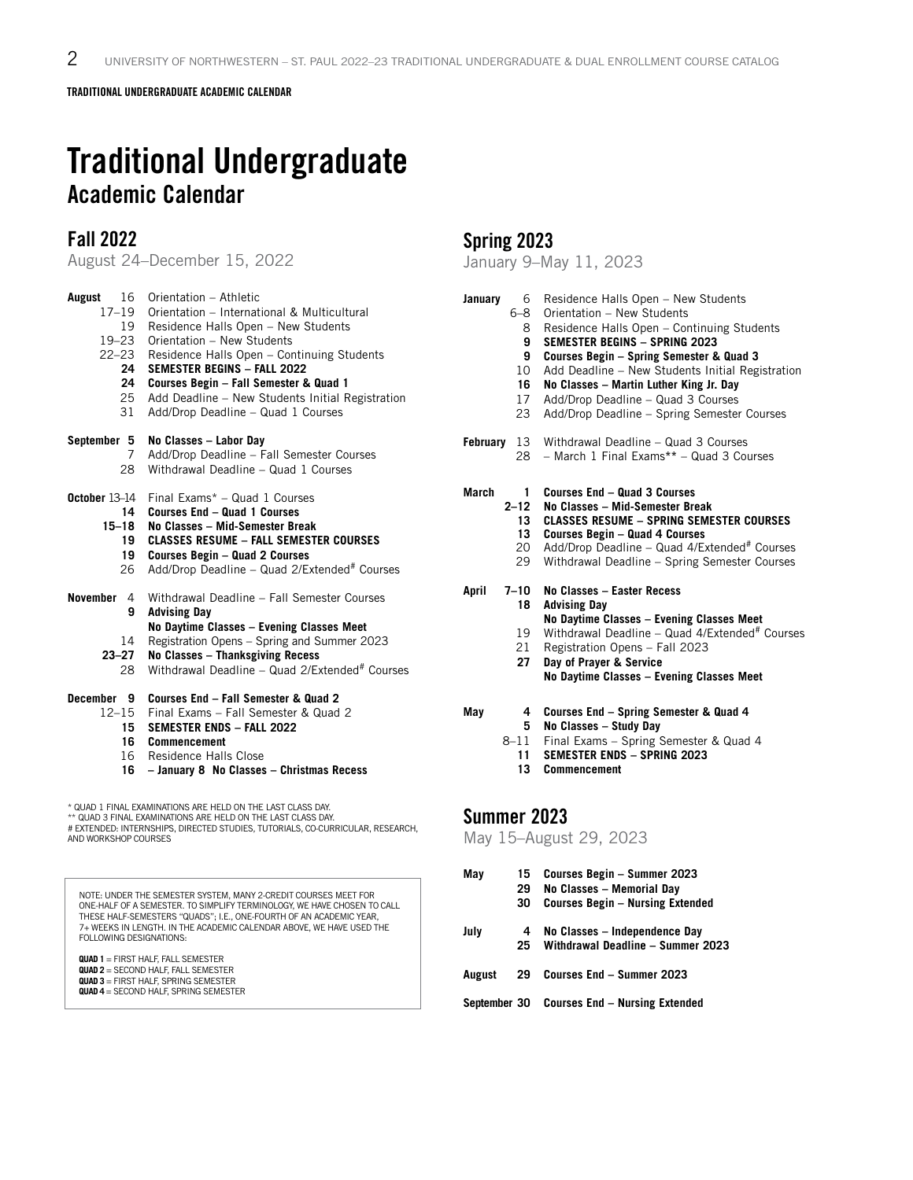TRADITIONAL UNDERGRADUATE ACADEMIC CALENDAR

# Traditional Undergraduate Academic Calendar

## Fall 2022

August 24–December 15, 2022

| August<br>16<br>$17 - 19$<br>19<br>$19 - 23$<br>$22 - 23$<br>24<br>24<br>25<br>31                                                                                                                                                     | Orientation - Athletic<br>Orientation - International & Multicultural<br>Residence Halls Open - New Students<br>Orientation - New Students<br>Residence Halls Open - Continuing Students<br><b>SEMESTER BEGINS - FALL 2022</b><br>Courses Begin - Fall Semester & Quad 1<br>Add Deadline - New Students Initial Registration<br>Add/Drop Deadline - Quad 1 Courses |  |
|---------------------------------------------------------------------------------------------------------------------------------------------------------------------------------------------------------------------------------------|--------------------------------------------------------------------------------------------------------------------------------------------------------------------------------------------------------------------------------------------------------------------------------------------------------------------------------------------------------------------|--|
| September 5<br>7<br>28                                                                                                                                                                                                                | No Classes - Labor Day<br>Add/Drop Deadline - Fall Semester Courses<br>Withdrawal Deadline - Quad 1 Courses                                                                                                                                                                                                                                                        |  |
| October 13-14<br>14<br>$15 - 18$<br>19<br>19<br>26                                                                                                                                                                                    | Final Exams* - Quad 1 Courses<br>Courses End - Quad 1 Courses<br>No Classes - Mid-Semester Break<br><b>CLASSES RESUME - FALL SEMESTER COURSES</b><br><b>Courses Begin - Quad 2 Courses</b><br>Add/Drop Deadline - Quad 2/Extended# Courses                                                                                                                         |  |
| November<br>4<br>9<br>14<br>$23 - 27$<br>28                                                                                                                                                                                           | Withdrawal Deadline - Fall Semester Courses<br><b>Advising Day</b><br>No Daytime Classes - Evening Classes Meet<br>Registration Opens - Spring and Summer 2023<br>No Classes - Thanksgiving Recess<br>Withdrawal Deadline - Quad 2/Extended <sup>#</sup> Courses                                                                                                   |  |
| December 9<br>$12 - 15$<br>15<br>16<br>16<br>16                                                                                                                                                                                       | Courses End - Fall Semester & Quad 2<br>Final Exams - Fall Semester & Quad 2<br><b>SEMESTER ENDS - FALL 2022</b><br><b>Commencement</b><br>Residence Halls Close<br>- January 8 No Classes - Christmas Recess                                                                                                                                                      |  |
| * QUAD 1 FINAL EXAMINATIONS ARE HELD ON THE LAST CLASS DAY.<br>** QUAD 3 FINAL EXAMINATIONS ARE HELD ON THE LAST CLASS DAY.<br># EXTENDED: INTERNSHIPS, DIRECTED STUDIES, TUTORIALS, CO-CURRICULAR, RESEARCH,<br>AND WORKSHOP COURSES |                                                                                                                                                                                                                                                                                                                                                                    |  |

NOTE: UNDER THE SEMESTER SYSTEM, MANY 2-CREDIT COURSES MEET FOR<br>ONE-HALF OF A SEMESTER. TO SIMPLIFY TERMINOLOGY, WE HAVE CHOSEN TO CALL<br>THESE HALF-SEMESTERS "QUADS"; I.E., ONE-FOURTH OF AN ACADEMIC YEAR, 7+ WEEKS IN LENGTH. IN THE ACADEMIC CALENDAR ABOVE, WE HAVE USED THE FOLLOWING DESIGNATIONS:

**QUAD 1** = FIRST HALF, FALL SEMESTER **QUAD 2** = SECOND HALF, FALL SEMESTER **QUAD 3** = FIRST HALF, SPRING SEMESTER

**QUAD 4** = SECOND HALF, SPRING SEMESTER

# Spring 2023

January 9–May 11, 2023

| January<br>6<br>6–8<br>8<br>9<br>9<br>10<br>16<br>17 <sup>2</sup><br>23                       | Residence Halls Open - New Students<br>Orientation - New Students<br>Residence Halls Open - Continuing Students<br><b>SEMESTER BEGINS - SPRING 2023</b><br>Courses Begin - Spring Semester & Quad 3<br>Add Deadline - New Students Initial Registration<br>No Classes - Martin Luther King Jr. Day<br>Add/Drop Deadline - Quad 3 Courses<br>Add/Drop Deadline - Spring Semester Courses                               |
|-----------------------------------------------------------------------------------------------|-----------------------------------------------------------------------------------------------------------------------------------------------------------------------------------------------------------------------------------------------------------------------------------------------------------------------------------------------------------------------------------------------------------------------|
| <b>February</b> 13<br>28                                                                      | Withdrawal Deadline - Quad 3 Courses<br>- March 1 Final Exams** - Quad 3 Courses                                                                                                                                                                                                                                                                                                                                      |
| March<br>1.<br>$2 - 12$<br>13<br>13 <sup>1</sup><br>20<br>29<br>April<br>$7 - 10$<br>18<br>19 | Courses End - Quad 3 Courses<br>No Classes - Mid-Semester Break<br><b>CLASSES RESUME - SPRING SEMESTER COURSES</b><br>Courses Begin - Quad 4 Courses<br>Add/Drop Deadline - Quad 4/Extended# Courses<br>Withdrawal Deadline - Spring Semester Courses<br>No Classes - Easter Recess<br><b>Advising Day</b><br>No Daytime Classes - Evening Classes Meet<br>Withdrawal Deadline - Quad 4/Extended <sup>#</sup> Courses |
| 21<br>27                                                                                      | Registration Opens - Fall 2023<br>Day of Prayer & Service<br>No Daytime Classes - Evening Classes Meet                                                                                                                                                                                                                                                                                                                |
| May<br>4<br>5<br>8-11<br>11<br>13                                                             | Courses End - Spring Semester & Quad 4<br>No Classes - Study Day<br>Final Exams - Spring Semester & Quad 4<br><b>SEMESTER ENDS - SPRING 2023</b><br><b>Commencement</b>                                                                                                                                                                                                                                               |

### Summer 2023

#### May 15–August 29, 2023

| May          | 15<br>29<br>30 | Courses Begin – Summer 2023<br>No Classes - Memorial Day<br><b>Courses Begin - Nursing Extended</b> |
|--------------|----------------|-----------------------------------------------------------------------------------------------------|
| July         | 4<br>25        | No Classes - Independence Day<br>Withdrawal Deadline - Summer 2023                                  |
| August       | 29             | Courses End - Summer 2023                                                                           |
| September 30 |                | <b>Courses End – Nursing Extended</b>                                                               |